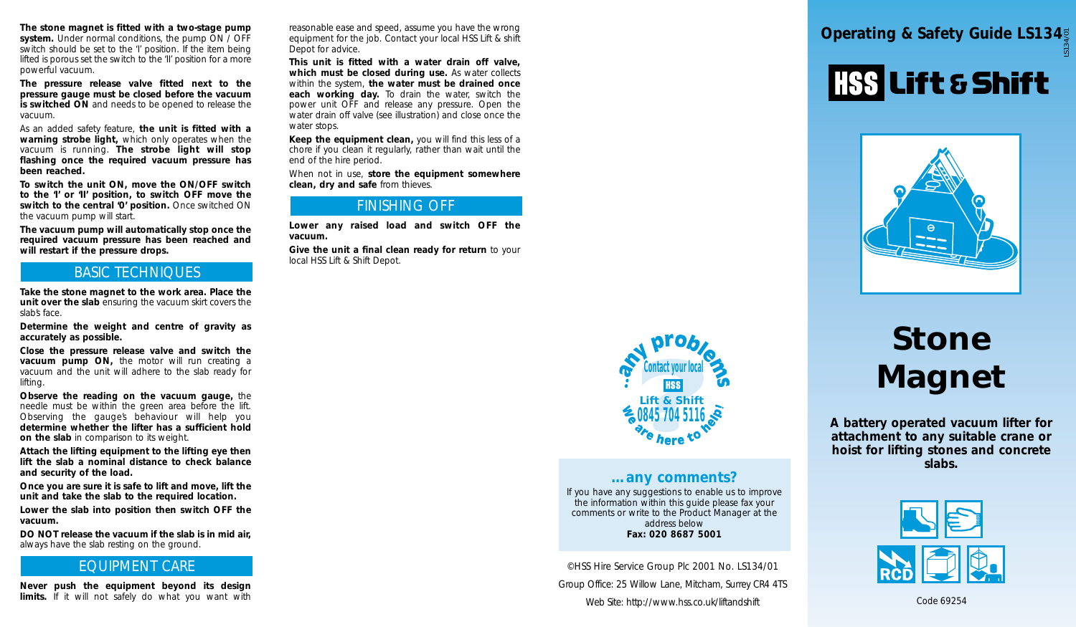The stone magnet is fitted with a two-stage pump reasonable ease and speed, assume you have the wrong<br> **System.** Under normal conditions, the pump ON / OFF equipment for the job. Contact your local HSS Lift & shift<br>
Switch *system. Under normal conditions, the pump ON / OFF switch should be set to the 'I' position. If the item being lifted is porous set the switch to the 'II' position for a more powerful vacuum.*

*The pressure release valve fitted next to the pressure gauge must be closed before the vacuum is switched ON and needs to be opened to release the vacuum.*

*As an added safety feature, the unit is fitted with a warning strobe light, which only operates when the vacuum is running. The strobe light will stop flashing once the required vacuum pressure has been reached.*

*To switch the unit ON, move the ON/OFF switch to the 'I' or 'II' position, to switch OFF move the switch to the central '0' position. Once switched ON the vacuum pump will start.*

*The vacuum pump will automatically stop once the required vacuum pressure has been reached and will restart if the pressure drops.*

### *BASIC TECHNIQUES*

*Take the stone magnet to the work area. Place the unit over the slab ensuring the vacuum skirt covers the slab's face.*

*Determine the weight and centre of gravity as accurately as possible.*

*Close the pressure release valve and switch the vacuum pump ON, the motor will run creating a vacuum and the unit will adhere to the slab ready for lifting.*

*Observe the reading on the vacuum gauge, the needle must be within the green area before the lift. Observing the gauge's behaviour will help you determine whether the lifter has a sufficient hold on the slab in comparison to its weight.* 

*Attach the lifting equipment to the lifting eye then lift the slab a nominal distance to check balance and security of the load.*

*Once you are sure it is safe to lift and move, lift the unit and take the slab to the required location.*

*Lower the slab into position then switch OFF the vacuum.*

*DO NOT release the vacuum if the slab is in mid air, always have the slab resting on the ground.*

## *EQUIPMENT CARE*

*Never push the equipment beyond its design limits. If it will not safely do what you want with* *reasonable ease and speed, assume you have the wrong equipment for the job. Contact your local HSS Lift & shift Depot for advice.*

*This unit is fitted with a water drain off valve, which must be closed during use. As water collects within the system, the water must be drained once each working day. To drain the water, switch the power unit OFF and release any pressure. Open the water drain off valve (see illustration) and close once the water stops.*

*Keep the equipment clean, you will find this less of a chore if you clean it regularly, rather than wait until the end of the hire period.*

*When not in use, store the equipment somewhere clean, dry and safe from thieves.*

### *FINISHING OFF*

*Lower any raised load and switch OFF the vacuum.* 

*Give the unit a final clean ready for return to your local HSS Lift & Shift Depot.*



# *…any comments?*

*If you have any suggestions to enable us to improve the information within this guide please fax your comments or write to the Product Manager at the address below Fax: 020 8687 5001*

*©HSS Hire Service Group Plc 2001 No. LS134/01 Group Office: 25 Willow Lane, Mitcham, Surrey CR4 4TS Web Site: http://www.hss.co.uk/liftandshift*

# HSS Lift & Shift



# *Stone Magnet*

*A battery operated vacuum lifter for attachment to any suitable crane or hoist for lifting stones and concrete slabs.*



*Code 69254*